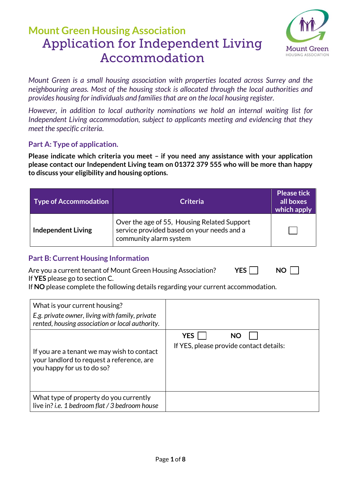

*Mount Green is a small housing association with properties located across Surrey and the neighbouring areas. Most of the housing stock is allocated through the local authorities and provides housing for individuals and families that are on the local housing register.* 

*However, in addition to local authority nominations we hold an internal waiting list for Independent Living accommodation, subject to applicants meeting and evidencing that they meet the specific criteria.*

### **Part A: Type of application.**

**Please indicate which criteria you meet – if you need any assistance with your application please contact our Independent Living team on 01372 379 555 who will be more than happy to discuss your eligibility and housing options.**

| <b>Type of Accommodation</b> | <b>Criteria</b>                                                                                                     | <b>Please tick</b><br>all boxes<br>which apply |
|------------------------------|---------------------------------------------------------------------------------------------------------------------|------------------------------------------------|
| <b>Independent Living</b>    | Over the age of 55, Housing Related Support<br>service provided based on your needs and a<br>community alarm system |                                                |

### **Part B: Current Housing Information**

| Are you a current tenant of Mount Green Housing Association? | YES | <b>NO</b> |
|--------------------------------------------------------------|-----|-----------|
| If YES please go to section C.                               |     |           |

If **NO** please complete the following details regarding your current accommodation.

| What is your current housing?<br>E.g. private owner, living with family, private                                      |                                                       |
|-----------------------------------------------------------------------------------------------------------------------|-------------------------------------------------------|
| rented, housing association or local authority.                                                                       |                                                       |
| If you are a tenant we may wish to contact<br>your landlord to request a reference, are<br>you happy for us to do so? | <b>YES</b><br>If YES, please provide contact details: |
| What type of property do you currently<br>live in? i.e. 1 bedroom flat / 3 bedroom house                              |                                                       |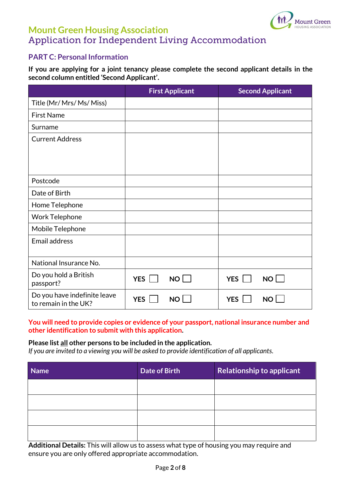

### **PART C: Personal Information**

**If you are applying for a joint tenancy please complete the second applicant details in the second column entitled 'Second Applicant'.**

|                                                      | <b>First Applicant</b>  | <b>Second Applicant</b> |
|------------------------------------------------------|-------------------------|-------------------------|
| Title (Mr/ Mrs/ Ms/ Miss)                            |                         |                         |
| <b>First Name</b>                                    |                         |                         |
| Surname                                              |                         |                         |
| <b>Current Address</b>                               |                         |                         |
|                                                      |                         |                         |
|                                                      |                         |                         |
| Postcode                                             |                         |                         |
| Date of Birth                                        |                         |                         |
| Home Telephone                                       |                         |                         |
| <b>Work Telephone</b>                                |                         |                         |
| Mobile Telephone                                     |                         |                         |
| <b>Email address</b>                                 |                         |                         |
| National Insurance No.                               |                         |                         |
| Do you hold a British<br>passport?                   | YES  <br>NO             | NO<br><b>YES</b>        |
| Do you have indefinite leave<br>to remain in the UK? | <b>YES</b><br><b>NO</b> | <b>YES</b><br><b>NO</b> |

#### **You will need to provide copies or evidence of your passport, national insurance number and other identification to submit with this application.**

#### **Please list all other persons to be included in the application.**

*If you are invited to a viewing you will be asked to provide identification of all applicants.*

| <b>Name</b> | Date of Birth | <b>Relationship to applicant</b> |
|-------------|---------------|----------------------------------|
|             |               |                                  |
|             |               |                                  |
|             |               |                                  |
|             |               |                                  |

**Additional Details:** This will allow us to assess what type of housing you may require and ensure you are only offered appropriate accommodation.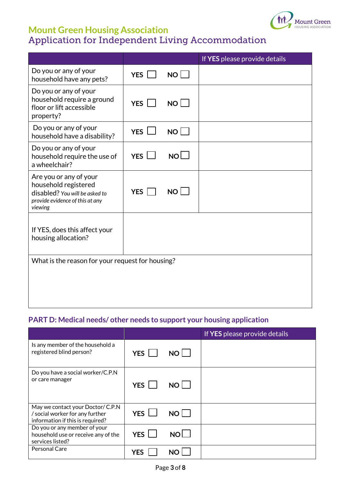

|                                                                                                                                |              |             | If YES please provide details |
|--------------------------------------------------------------------------------------------------------------------------------|--------------|-------------|-------------------------------|
| Do you or any of your<br>household have any pets?                                                                              | YES          | NO          |                               |
| Do you or any of your<br>household require a ground<br>floor or lift accessible<br>property?                                   | YES          | NO          |                               |
| Do you or any of your<br>household have a disability?                                                                          | YES $\Box$   | $NO$ $\Box$ |                               |
| Do you or any of your<br>household require the use of<br>a wheelchair?                                                         | $YES$ $\Box$ | NO          |                               |
| Are you or any of your<br>household registered<br>disabled? You will be asked to<br>provide evidence of this at any<br>viewing | YES          | $NO$ $\Box$ |                               |
| If YES, does this affect your<br>housing allocation?                                                                           |              |             |                               |
| What is the reason for your request for housing?                                                                               |              |             |                               |
|                                                                                                                                |              |             |                               |
|                                                                                                                                |              |             |                               |
|                                                                                                                                |              |             |                               |

## **PART D: Medical needs/ other needs to support your housing application**

|                                                                                                          |            |      | If YES please provide details |
|----------------------------------------------------------------------------------------------------------|------------|------|-------------------------------|
| Is any member of the household a<br>registered blind person?                                             | YES        | $NO$ |                               |
| Do you have a social worker/C.P.N<br>or care manager                                                     | YES        | NO I |                               |
| May we contact your Doctor/ C.P.N<br>/ social worker for any further<br>information if this is required? | YES L      | $NO$ |                               |
| Do you or any member of your<br>household use or receive any of the<br>services listed?                  | <b>YES</b> | NOL  |                               |
| Personal Care                                                                                            | <b>YES</b> |      |                               |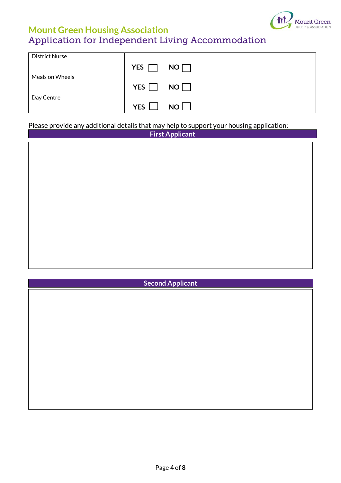

| <b>District Nurse</b> |            |                 |  |
|-----------------------|------------|-----------------|--|
|                       | <b>YES</b> | NO <b>D</b>     |  |
| Meals on Wheels       |            |                 |  |
|                       | YES $\Box$ | NO <sub>1</sub> |  |
| Day Centre            |            |                 |  |
|                       | <b>YES</b> | NO L            |  |

### Please provide any additional details that may help to support your housing application:

| <b>First Applicant</b> |
|------------------------|
|                        |
|                        |
|                        |
|                        |
|                        |
|                        |
|                        |
|                        |
|                        |
|                        |
|                        |
|                        |
|                        |
|                        |

| <b>Second Applicant</b> |  |
|-------------------------|--|
|                         |  |
|                         |  |
|                         |  |
|                         |  |
|                         |  |
|                         |  |
|                         |  |
|                         |  |
|                         |  |
|                         |  |
|                         |  |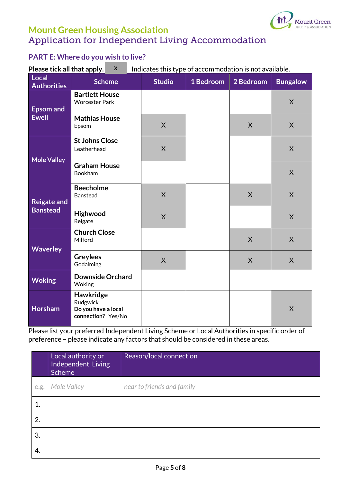

### **PART E: Where do you wish to live?**

**Please tick all that apply.** X lindicates this type of accommodation is not available. **X**

| Local<br><b>Authorities</b>           | <b>Scheme</b>                                                             | <b>Studio</b>  | 1 Bedroom | 2 Bedroom | <b>Bungalow</b> |
|---------------------------------------|---------------------------------------------------------------------------|----------------|-----------|-----------|-----------------|
| <b>Epsom and</b><br><b>Ewell</b>      | <b>Bartlett House</b><br><b>Worcester Park</b>                            |                |           |           | $\sf X$         |
|                                       | <b>Mathias House</b><br>Epsom                                             | $\overline{X}$ |           | $\sf X$   | $\sf X$         |
| <b>Mole Valley</b>                    | <b>St Johns Close</b><br>Leatherhead                                      | $\sf X$        |           |           | $\sf X$         |
|                                       | <b>Graham House</b><br>Bookham                                            |                |           |           | $\mathsf{X}$    |
| <b>Reigate and</b><br><b>Banstead</b> | <b>Beecholme</b><br>Banstead                                              | X              |           | X         | X               |
|                                       | <b>Highwood</b><br>Reigate                                                | $\sf X$        |           |           | $\sf X$         |
| <b>Waverley</b>                       | <b>Church Close</b><br>Milford                                            |                |           | $\sf X$   | $\mathsf{X}$    |
|                                       | <b>Greylees</b><br>Godalming                                              | $\sf X$        |           | $\sf X$   | $\sf X$         |
| <b>Woking</b>                         | <b>Downside Orchard</b><br>Woking                                         |                |           |           |                 |
| Horsham                               | <b>Hawkridge</b><br>Rudgwick<br>Do you have a local<br>connection? Yes/No |                |           |           | X               |

Please list your preferred Independent Living Scheme or Local Authorities in specific order of preference – please indicate any factors that should be considered in these areas.

|      | Local authority or<br>Independent Living<br>Scheme | Reason/local connection    |
|------|----------------------------------------------------|----------------------------|
| e.g. | Mole Valley                                        | near to friends and family |
|      |                                                    |                            |
| 2.   |                                                    |                            |
| 3.   |                                                    |                            |
| 4.   |                                                    |                            |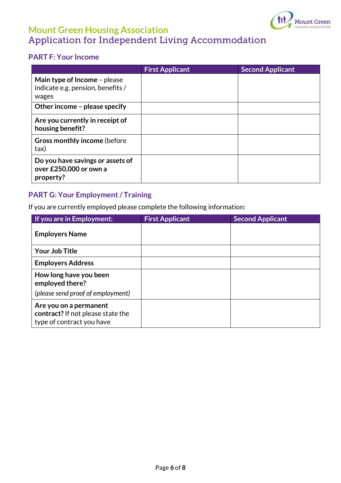

### **PART F: Your Income**

|                                                                            | <b>First Applicant</b> | <b>Second Applicant</b> |
|----------------------------------------------------------------------------|------------------------|-------------------------|
| Main type of Income - please<br>indicate e.g. pension, benefits /<br>wages |                        |                         |
| Other income - please specify                                              |                        |                         |
| Are you currently in receipt of<br>housing benefit?                        |                        |                         |
| <b>Gross monthly income (before</b> )<br>tax)                              |                        |                         |
| Do you have savings or assets of<br>over £250,000 or own a<br>property?    |                        |                         |

### **PART G: Your Employment / Training**

If you are currently employed please complete the following information:

| If you are in Employment:                                                                | <b>First Applicant</b> | <b>Second Applicant</b> |
|------------------------------------------------------------------------------------------|------------------------|-------------------------|
| <b>Employers Name</b>                                                                    |                        |                         |
| <b>Your Job Title</b>                                                                    |                        |                         |
| <b>Employers Address</b>                                                                 |                        |                         |
| How long have you been<br>employed there?                                                |                        |                         |
| (please send proof of employment)                                                        |                        |                         |
| Are you on a permanent<br>contract? If not please state the<br>type of contract you have |                        |                         |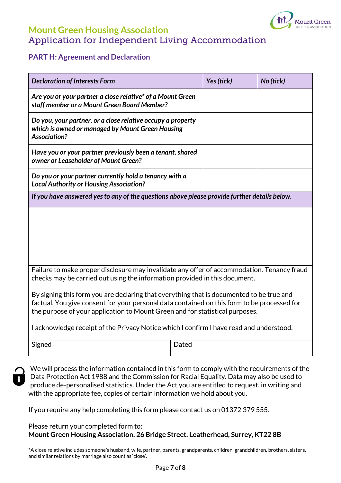

#### **PART H: Agreement and Declaration**

| <b>Declaration of Interests Form</b>                                                                                                                                                    | Yes (tick) | No (tick) |  |  |  |  |
|-----------------------------------------------------------------------------------------------------------------------------------------------------------------------------------------|------------|-----------|--|--|--|--|
| Are you or your partner a close relative* of a Mount Green<br>staff member or a Mount Green Board Member?                                                                               |            |           |  |  |  |  |
| Do you, your partner, or a close relative occupy a property<br>which is owned or managed by Mount Green Housing<br><b>Association?</b>                                                  |            |           |  |  |  |  |
| Have you or your partner previously been a tenant, shared<br>owner or Leaseholder of Mount Green?                                                                                       |            |           |  |  |  |  |
| Do you or your partner currently hold a tenancy with a<br><b>Local Authority or Housing Association?</b>                                                                                |            |           |  |  |  |  |
| If you have answered yes to any of the questions above please provide further details below.                                                                                            |            |           |  |  |  |  |
|                                                                                                                                                                                         |            |           |  |  |  |  |
|                                                                                                                                                                                         |            |           |  |  |  |  |
|                                                                                                                                                                                         |            |           |  |  |  |  |
|                                                                                                                                                                                         |            |           |  |  |  |  |
| Failure to make proper disclosure may invalidate any offer of accommodation. Tenancy fraud<br>checks may be carried out using the information provided in this document.                |            |           |  |  |  |  |
| By signing this form you are declaring that everything that is documented to be true and<br>factual. You give consent for your personal data contained on this form to be processed for |            |           |  |  |  |  |
| the purpose of your application to Mount Green and for statistical purposes.                                                                                                            |            |           |  |  |  |  |
| I acknowledge receipt of the Privacy Notice which I confirm I have read and understood.                                                                                                 |            |           |  |  |  |  |
| Signed                                                                                                                                                                                  | Dated      |           |  |  |  |  |

We will process the information contained in this form to comply with the requirements of the Data Protection Act 1988 and the Commission for Racial Equality. Data may also be used to produce de-personalised statistics. Under the Act you are entitled to request, in writing and with the appropriate fee, copies of certain information we hold about you.

If you require any help completing this form please contact us on 01372 379 555.

#### Please return your completed form to: **Mount Green Housing Association, 26 Bridge Street, Leatherhead, Surrey, KT22 8B**

\*A close relative includes someone's husband, wife, partner, parents, grandparents, children, grandchildren, brothers, sisters, and similar relations by marriage also count as 'close'.